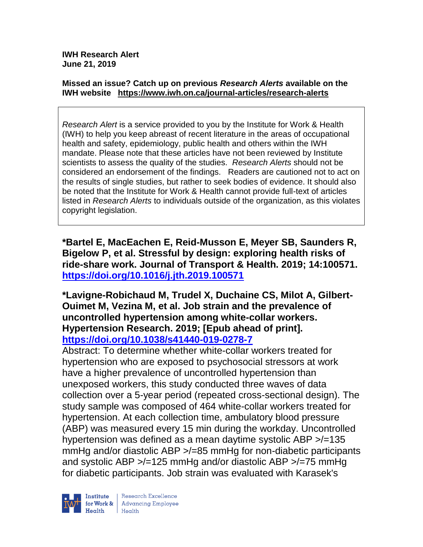**IWH Research Alert June 21, 2019**

#### **Missed an issue? Catch up on previous** *Research Alerts* **available on the [IWH website](http://www.iwh.on.ca/research-alerts) <https://www.iwh.on.ca/journal-articles/research-alerts>**

*Research Alert* is a service provided to you by the Institute for Work & Health (IWH) to help you keep abreast of recent literature in the areas of occupational health and safety, epidemiology, public health and others within the IWH mandate. Please note that these articles have not been reviewed by Institute scientists to assess the quality of the studies. *Research Alerts* should not be considered an endorsement of the findings. Readers are cautioned not to act on the results of single studies, but rather to seek bodies of evidence. It should also be noted that the Institute for Work & Health cannot provide full-text of articles listed in *Research Alerts* to individuals outside of the organization, as this violates copyright legislation.

**\*Bartel E, MacEachen E, Reid-Musson E, Meyer SB, Saunders R, Bigelow P, et al. Stressful by design: exploring health risks of ride-share work. Journal of Transport & Health. 2019; 14:100571. <https://doi.org/10.1016/j.jth.2019.100571>** 

**\*Lavigne-Robichaud M, Trudel X, Duchaine CS, Milot A, Gilbert-Ouimet M, Vezina M, et al. Job strain and the prevalence of uncontrolled hypertension among white-collar workers. Hypertension Research. 2019; [Epub ahead of print]. <https://doi.org/10.1038/s41440-019-0278-7>** 

Abstract: To determine whether white-collar workers treated for hypertension who are exposed to psychosocial stressors at work have a higher prevalence of uncontrolled hypertension than unexposed workers, this study conducted three waves of data collection over a 5-year period (repeated cross-sectional design). The study sample was composed of 464 white-collar workers treated for hypertension. At each collection time, ambulatory blood pressure (ABP) was measured every 15 min during the workday. Uncontrolled hypertension was defined as a mean daytime systolic ABP >/=135 mmHg and/or diastolic ABP >/=85 mmHg for non-diabetic participants and systolic ABP >/=125 mmHg and/or diastolic ABP >/=75 mmHg for diabetic participants. Job strain was evaluated with Karasek's

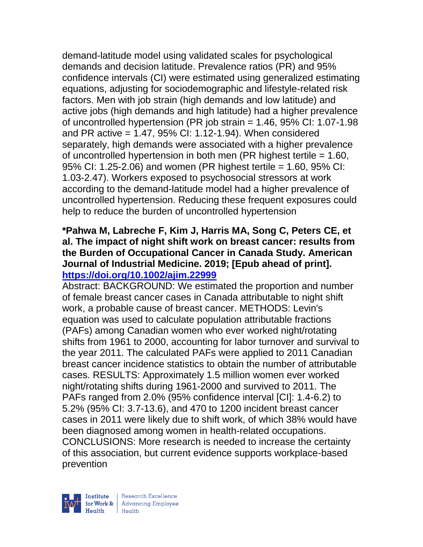demand-latitude model using validated scales for psychological demands and decision latitude. Prevalence ratios (PR) and 95% confidence intervals (CI) were estimated using generalized estimating equations, adjusting for sociodemographic and lifestyle-related risk factors. Men with job strain (high demands and low latitude) and active jobs (high demands and high latitude) had a higher prevalence of uncontrolled hypertension (PR job strain = 1.46, 95% CI: 1.07-1.98 and PR active = 1.47, 95% CI: 1.12-1.94). When considered separately, high demands were associated with a higher prevalence of uncontrolled hypertension in both men (PR highest tertile = 1.60, 95% CI: 1.25-2.06) and women (PR highest tertile = 1.60, 95% CI: 1.03-2.47). Workers exposed to psychosocial stressors at work according to the demand-latitude model had a higher prevalence of uncontrolled hypertension. Reducing these frequent exposures could help to reduce the burden of uncontrolled hypertension

# **\*Pahwa M, Labreche F, Kim J, Harris MA, Song C, Peters CE, et al. The impact of night shift work on breast cancer: results from the Burden of Occupational Cancer in Canada Study. American Journal of Industrial Medicine. 2019; [Epub ahead of print]. <https://doi.org/10.1002/ajim.22999>**

Abstract: BACKGROUND: We estimated the proportion and number of female breast cancer cases in Canada attributable to night shift work, a probable cause of breast cancer. METHODS: Levin's equation was used to calculate population attributable fractions (PAFs) among Canadian women who ever worked night/rotating shifts from 1961 to 2000, accounting for labor turnover and survival to the year 2011. The calculated PAFs were applied to 2011 Canadian breast cancer incidence statistics to obtain the number of attributable cases. RESULTS: Approximately 1.5 million women ever worked night/rotating shifts during 1961-2000 and survived to 2011. The PAFs ranged from 2.0% (95% confidence interval [CI]: 1.4-6.2) to 5.2% (95% CI: 3.7-13.6), and 470 to 1200 incident breast cancer cases in 2011 were likely due to shift work, of which 38% would have been diagnosed among women in health-related occupations. CONCLUSIONS: More research is needed to increase the certainty of this association, but current evidence supports workplace-based prevention

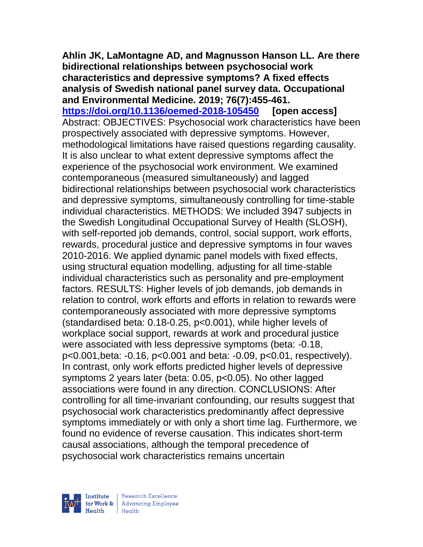**Ahlin JK, LaMontagne AD, and Magnusson Hanson LL. Are there bidirectional relationships between psychosocial work characteristics and depressive symptoms? A fixed effects analysis of Swedish national panel survey data. Occupational and Environmental Medicine. 2019; 76(7):455-461. <https://doi.org/10.1136/oemed-2018-105450> [open access]** Abstract: OBJECTIVES: Psychosocial work characteristics have been prospectively associated with depressive symptoms. However, methodological limitations have raised questions regarding causality. It is also unclear to what extent depressive symptoms affect the experience of the psychosocial work environment. We examined contemporaneous (measured simultaneously) and lagged bidirectional relationships between psychosocial work characteristics and depressive symptoms, simultaneously controlling for time-stable individual characteristics. METHODS: We included 3947 subjects in the Swedish Longitudinal Occupational Survey of Health (SLOSH), with self-reported job demands, control, social support, work efforts, rewards, procedural justice and depressive symptoms in four waves 2010-2016. We applied dynamic panel models with fixed effects, using structural equation modelling, adjusting for all time-stable individual characteristics such as personality and pre-employment factors. RESULTS: Higher levels of job demands, job demands in relation to control, work efforts and efforts in relation to rewards were contemporaneously associated with more depressive symptoms (standardised beta: 0.18-0.25, p<0.001), while higher levels of workplace social support, rewards at work and procedural justice were associated with less depressive symptoms (beta: -0.18, p<0.001,beta: -0.16, p<0.001 and beta: -0.09, p<0.01, respectively). In contrast, only work efforts predicted higher levels of depressive symptoms 2 years later (beta: 0.05, p<0.05). No other lagged associations were found in any direction. CONCLUSIONS: After controlling for all time-invariant confounding, our results suggest that psychosocial work characteristics predominantly affect depressive symptoms immediately or with only a short time lag. Furthermore, we found no evidence of reverse causation. This indicates short-term causal associations, although the temporal precedence of psychosocial work characteristics remains uncertain

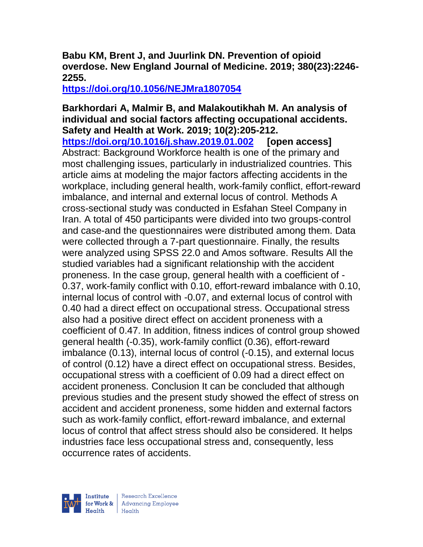#### **Babu KM, Brent J, and Juurlink DN. Prevention of opioid overdose. New England Journal of Medicine. 2019; 380(23):2246- 2255.**

**<https://doi.org/10.1056/NEJMra1807054>** 

#### **Barkhordari A, Malmir B, and Malakoutikhah M. An analysis of individual and social factors affecting occupational accidents. Safety and Health at Work. 2019; 10(2):205-212.**

**<https://doi.org/10.1016/j.shaw.2019.01.002> [open access]** Abstract: Background Workforce health is one of the primary and most challenging issues, particularly in industrialized countries. This article aims at modeling the major factors affecting accidents in the workplace, including general health, work-family conflict, effort-reward imbalance, and internal and external locus of control. Methods A cross-sectional study was conducted in Esfahan Steel Company in Iran. A total of 450 participants were divided into two groups-control and case-and the questionnaires were distributed among them. Data were collected through a 7-part questionnaire. Finally, the results were analyzed using SPSS 22.0 and Amos software. Results All the studied variables had a significant relationship with the accident proneness. In the case group, general health with a coefficient of - 0.37, work-family conflict with 0.10, effort-reward imbalance with 0.10, internal locus of control with -0.07, and external locus of control with 0.40 had a direct effect on occupational stress. Occupational stress also had a positive direct effect on accident proneness with a coefficient of 0.47. In addition, fitness indices of control group showed general health (-0.35), work-family conflict (0.36), effort-reward imbalance (0.13), internal locus of control (-0.15), and external locus of control (0.12) have a direct effect on occupational stress. Besides, occupational stress with a coefficient of 0.09 had a direct effect on accident proneness. Conclusion It can be concluded that although previous studies and the present study showed the effect of stress on accident and accident proneness, some hidden and external factors such as work-family conflict, effort-reward imbalance, and external locus of control that affect stress should also be considered. It helps industries face less occupational stress and, consequently, less occurrence rates of accidents.

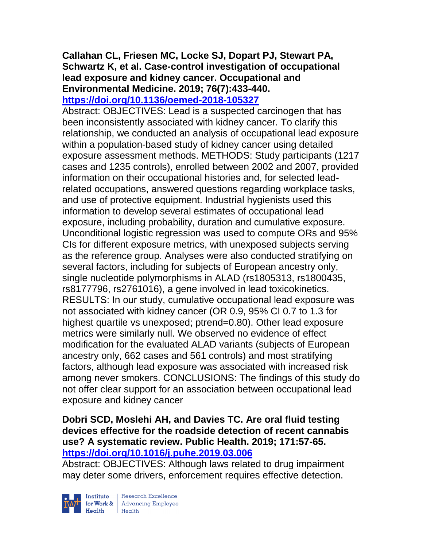#### **Callahan CL, Friesen MC, Locke SJ, Dopart PJ, Stewart PA, Schwartz K, et al. Case-control investigation of occupational lead exposure and kidney cancer. Occupational and Environmental Medicine. 2019; 76(7):433-440. <https://doi.org/10.1136/oemed-2018-105327>**

Abstract: OBJECTIVES: Lead is a suspected carcinogen that has been inconsistently associated with kidney cancer. To clarify this relationship, we conducted an analysis of occupational lead exposure within a population-based study of kidney cancer using detailed exposure assessment methods. METHODS: Study participants (1217 cases and 1235 controls), enrolled between 2002 and 2007, provided information on their occupational histories and, for selected leadrelated occupations, answered questions regarding workplace tasks, and use of protective equipment. Industrial hygienists used this information to develop several estimates of occupational lead exposure, including probability, duration and cumulative exposure. Unconditional logistic regression was used to compute ORs and 95% CIs for different exposure metrics, with unexposed subjects serving as the reference group. Analyses were also conducted stratifying on several factors, including for subjects of European ancestry only, single nucleotide polymorphisms in ALAD (rs1805313, rs1800435, rs8177796, rs2761016), a gene involved in lead toxicokinetics. RESULTS: In our study, cumulative occupational lead exposure was not associated with kidney cancer (OR 0.9, 95% CI 0.7 to 1.3 for highest quartile vs unexposed; ptrend=0.80). Other lead exposure metrics were similarly null. We observed no evidence of effect modification for the evaluated ALAD variants (subjects of European ancestry only, 662 cases and 561 controls) and most stratifying factors, although lead exposure was associated with increased risk among never smokers. CONCLUSIONS: The findings of this study do not offer clear support for an association between occupational lead exposure and kidney cancer

## **Dobri SCD, Moslehi AH, and Davies TC. Are oral fluid testing devices effective for the roadside detection of recent cannabis use? A systematic review. Public Health. 2019; 171:57-65. <https://doi.org/10.1016/j.puhe.2019.03.006>**

Abstract: OBJECTIVES: Although laws related to drug impairment may deter some drivers, enforcement requires effective detection.



Institute Research Excellence<br>
for Work & Advancing Employee<br>
Health Health | Research Excellence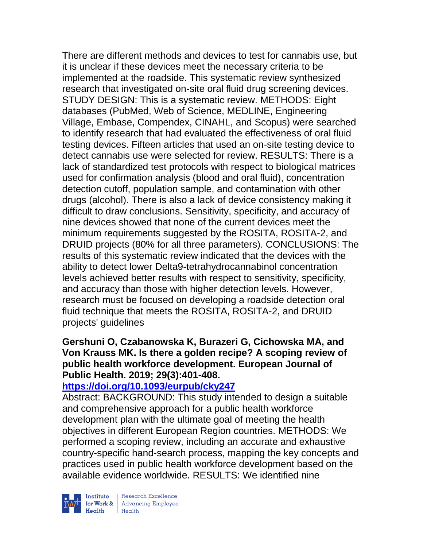There are different methods and devices to test for cannabis use, but it is unclear if these devices meet the necessary criteria to be implemented at the roadside. This systematic review synthesized research that investigated on-site oral fluid drug screening devices. STUDY DESIGN: This is a systematic review. METHODS: Eight databases (PubMed, Web of Science, MEDLINE, Engineering Village, Embase, Compendex, CINAHL, and Scopus) were searched to identify research that had evaluated the effectiveness of oral fluid testing devices. Fifteen articles that used an on-site testing device to detect cannabis use were selected for review. RESULTS: There is a lack of standardized test protocols with respect to biological matrices used for confirmation analysis (blood and oral fluid), concentration detection cutoff, population sample, and contamination with other drugs (alcohol). There is also a lack of device consistency making it difficult to draw conclusions. Sensitivity, specificity, and accuracy of nine devices showed that none of the current devices meet the minimum requirements suggested by the ROSITA, ROSITA-2, and DRUID projects (80% for all three parameters). CONCLUSIONS: The results of this systematic review indicated that the devices with the ability to detect lower Delta9-tetrahydrocannabinol concentration levels achieved better results with respect to sensitivity, specificity, and accuracy than those with higher detection levels. However, research must be focused on developing a roadside detection oral fluid technique that meets the ROSITA, ROSITA-2, and DRUID projects' guidelines

# **Gershuni O, Czabanowska K, Burazeri G, Cichowska MA, and Von Krauss MK. Is there a golden recipe? A scoping review of public health workforce development. European Journal of Public Health. 2019; 29(3):401-408.**

## **<https://doi.org/10.1093/eurpub/cky247>**

Abstract: BACKGROUND: This study intended to design a suitable and comprehensive approach for a public health workforce development plan with the ultimate goal of meeting the health objectives in different European Region countries. METHODS: We performed a scoping review, including an accurate and exhaustive country-specific hand-search process, mapping the key concepts and practices used in public health workforce development based on the available evidence worldwide. RESULTS: We identified nine



| Research Excellence Finantium Research Excellence<br>
Finantium Research Employee<br>
Realth Health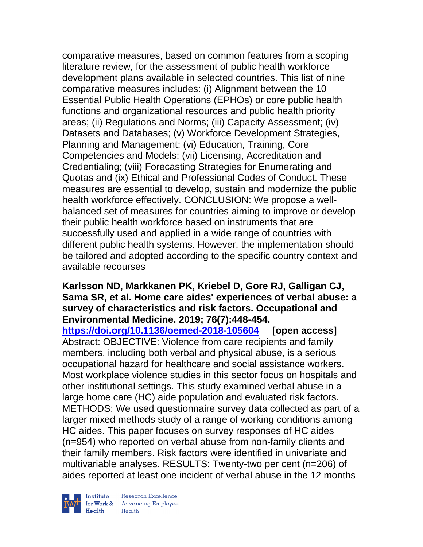comparative measures, based on common features from a scoping literature review, for the assessment of public health workforce development plans available in selected countries. This list of nine comparative measures includes: (i) Alignment between the 10 Essential Public Health Operations (EPHOs) or core public health functions and organizational resources and public health priority areas; (ii) Regulations and Norms; (iii) Capacity Assessment; (iv) Datasets and Databases; (v) Workforce Development Strategies, Planning and Management; (vi) Education, Training, Core Competencies and Models; (vii) Licensing, Accreditation and Credentialing; (viii) Forecasting Strategies for Enumerating and Quotas and (ix) Ethical and Professional Codes of Conduct. These measures are essential to develop, sustain and modernize the public health workforce effectively. CONCLUSION: We propose a wellbalanced set of measures for countries aiming to improve or develop their public health workforce based on instruments that are successfully used and applied in a wide range of countries with different public health systems. However, the implementation should be tailored and adopted according to the specific country context and available recourses

#### **Karlsson ND, Markkanen PK, Kriebel D, Gore RJ, Galligan CJ, Sama SR, et al. Home care aides' experiences of verbal abuse: a survey of characteristics and risk factors. Occupational and Environmental Medicine. 2019; 76(7):448-454.**

**<https://doi.org/10.1136/oemed-2018-105604> [open access]** Abstract: OBJECTIVE: Violence from care recipients and family members, including both verbal and physical abuse, is a serious occupational hazard for healthcare and social assistance workers. Most workplace violence studies in this sector focus on hospitals and other institutional settings. This study examined verbal abuse in a large home care (HC) aide population and evaluated risk factors. METHODS: We used questionnaire survey data collected as part of a larger mixed methods study of a range of working conditions among HC aides. This paper focuses on survey responses of HC aides (n=954) who reported on verbal abuse from non-family clients and their family members. Risk factors were identified in univariate and multivariable analyses. RESULTS: Twenty-two per cent (n=206) of aides reported at least one incident of verbal abuse in the 12 months



| Research Excellence for Work & Advancing Employee<br>Health Health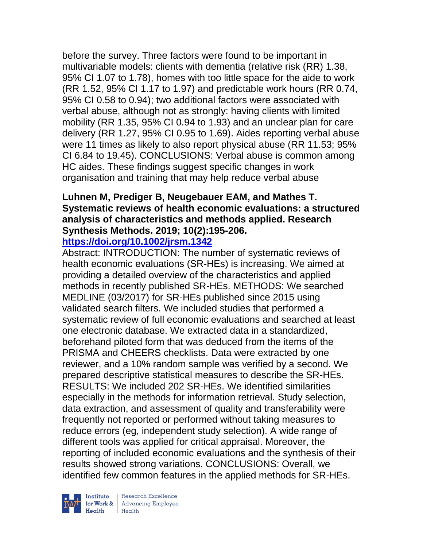before the survey. Three factors were found to be important in multivariable models: clients with dementia (relative risk (RR) 1.38, 95% CI 1.07 to 1.78), homes with too little space for the aide to work (RR 1.52, 95% CI 1.17 to 1.97) and predictable work hours (RR 0.74, 95% CI 0.58 to 0.94); two additional factors were associated with verbal abuse, although not as strongly: having clients with limited mobility (RR 1.35, 95% CI 0.94 to 1.93) and an unclear plan for care delivery (RR 1.27, 95% CI 0.95 to 1.69). Aides reporting verbal abuse were 11 times as likely to also report physical abuse (RR 11.53; 95% CI 6.84 to 19.45). CONCLUSIONS: Verbal abuse is common among HC aides. These findings suggest specific changes in work organisation and training that may help reduce verbal abuse

# **Luhnen M, Prediger B, Neugebauer EAM, and Mathes T. Systematic reviews of health economic evaluations: a structured analysis of characteristics and methods applied. Research Synthesis Methods. 2019; 10(2):195-206.**

# **<https://doi.org/10.1002/jrsm.1342>**

Abstract: INTRODUCTION: The number of systematic reviews of health economic evaluations (SR-HEs) is increasing. We aimed at providing a detailed overview of the characteristics and applied methods in recently published SR-HEs. METHODS: We searched MEDLINE (03/2017) for SR-HEs published since 2015 using validated search filters. We included studies that performed a systematic review of full economic evaluations and searched at least one electronic database. We extracted data in a standardized, beforehand piloted form that was deduced from the items of the PRISMA and CHEERS checklists. Data were extracted by one reviewer, and a 10% random sample was verified by a second. We prepared descriptive statistical measures to describe the SR-HEs. RESULTS: We included 202 SR-HEs. We identified similarities especially in the methods for information retrieval. Study selection, data extraction, and assessment of quality and transferability were frequently not reported or performed without taking measures to reduce errors (eg, independent study selection). A wide range of different tools was applied for critical appraisal. Moreover, the reporting of included economic evaluations and the synthesis of their results showed strong variations. CONCLUSIONS: Overall, we identified few common features in the applied methods for SR-HEs.



| Research Excellence Finantium Research Excellence<br>
For Work & Advancing Employee<br>
Health Health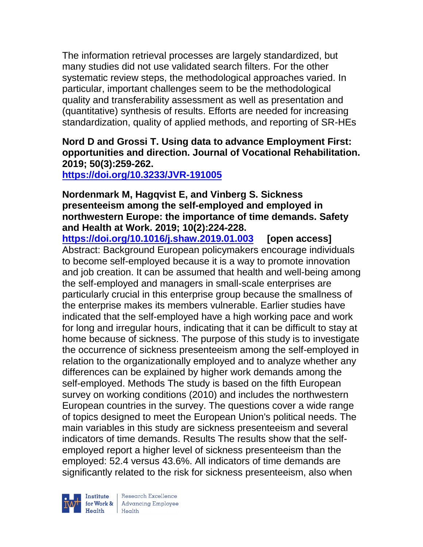The information retrieval processes are largely standardized, but many studies did not use validated search filters. For the other systematic review steps, the methodological approaches varied. In particular, important challenges seem to be the methodological quality and transferability assessment as well as presentation and (quantitative) synthesis of results. Efforts are needed for increasing standardization, quality of applied methods, and reporting of SR-HEs

**Nord D and Grossi T. Using data to advance Employment First: opportunities and direction. Journal of Vocational Rehabilitation. 2019; 50(3):259-262.** 

**<https://doi.org/10.3233/JVR-191005>** 

#### **Nordenmark M, Hagqvist E, and Vinberg S. Sickness presenteeism among the self-employed and employed in northwestern Europe: the importance of time demands. Safety and Health at Work. 2019; 10(2):224-228.**

**<https://doi.org/10.1016/j.shaw.2019.01.003> [open access]** Abstract: Background European policymakers encourage individuals to become self-employed because it is a way to promote innovation and job creation. It can be assumed that health and well-being among the self-employed and managers in small-scale enterprises are particularly crucial in this enterprise group because the smallness of the enterprise makes its members vulnerable. Earlier studies have indicated that the self-employed have a high working pace and work for long and irregular hours, indicating that it can be difficult to stay at home because of sickness. The purpose of this study is to investigate the occurrence of sickness presenteeism among the self-employed in relation to the organizationally employed and to analyze whether any differences can be explained by higher work demands among the self-employed. Methods The study is based on the fifth European survey on working conditions (2010) and includes the northwestern European countries in the survey. The questions cover a wide range of topics designed to meet the European Union's political needs. The main variables in this study are sickness presenteeism and several indicators of time demands. Results The results show that the selfemployed report a higher level of sickness presenteeism than the employed: 52.4 versus 43.6%. All indicators of time demands are significantly related to the risk for sickness presenteeism, also when

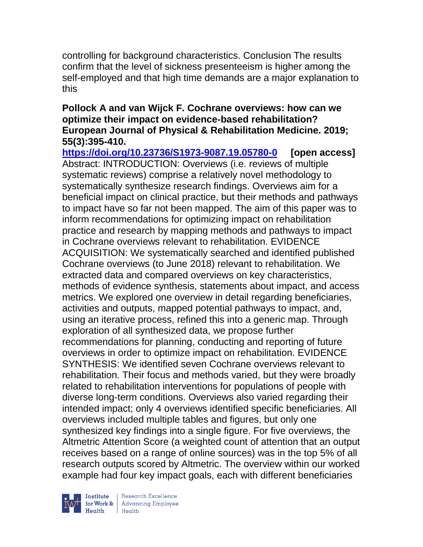controlling for background characteristics. Conclusion The results confirm that the level of sickness presenteeism is higher among the self-employed and that high time demands are a major explanation to this

# **Pollock A and van Wijck F. Cochrane overviews: how can we optimize their impact on evidence-based rehabilitation? European Journal of Physical & Rehabilitation Medicine. 2019; 55(3):395-410.**

**<https://doi.org/10.23736/S1973-9087.19.05780-0> [open access]** Abstract: INTRODUCTION: Overviews (i.e. reviews of multiple systematic reviews) comprise a relatively novel methodology to systematically synthesize research findings. Overviews aim for a beneficial impact on clinical practice, but their methods and pathways to impact have so far not been mapped. The aim of this paper was to inform recommendations for optimizing impact on rehabilitation practice and research by mapping methods and pathways to impact in Cochrane overviews relevant to rehabilitation. EVIDENCE ACQUISITION: We systematically searched and identified published Cochrane overviews (to June 2018) relevant to rehabilitation. We extracted data and compared overviews on key characteristics, methods of evidence synthesis, statements about impact, and access metrics. We explored one overview in detail regarding beneficiaries, activities and outputs, mapped potential pathways to impact, and, using an iterative process, refined this into a generic map. Through exploration of all synthesized data, we propose further recommendations for planning, conducting and reporting of future overviews in order to optimize impact on rehabilitation. EVIDENCE SYNTHESIS: We identified seven Cochrane overviews relevant to rehabilitation. Their focus and methods varied, but they were broadly related to rehabilitation interventions for populations of people with diverse long-term conditions. Overviews also varied regarding their intended impact; only 4 overviews identified specific beneficiaries. All overviews included multiple tables and figures, but only one synthesized key findings into a single figure. For five overviews, the Altmetric Attention Score (a weighted count of attention that an output receives based on a range of online sources) was in the top 5% of all research outputs scored by Altmetric. The overview within our worked example had four key impact goals, each with different beneficiaries



Research Excellence for Work & | Advancing Employee  $Heath$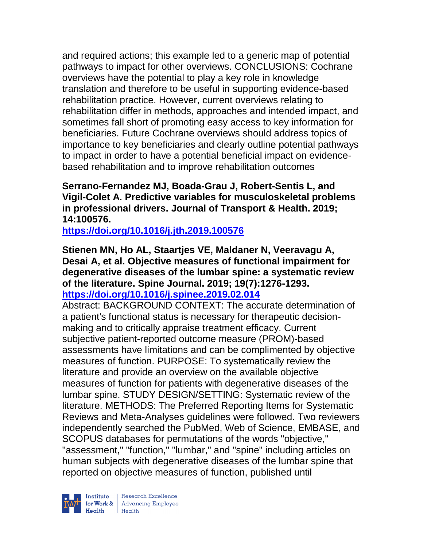and required actions; this example led to a generic map of potential pathways to impact for other overviews. CONCLUSIONS: Cochrane overviews have the potential to play a key role in knowledge translation and therefore to be useful in supporting evidence-based rehabilitation practice. However, current overviews relating to rehabilitation differ in methods, approaches and intended impact, and sometimes fall short of promoting easy access to key information for beneficiaries. Future Cochrane overviews should address topics of importance to key beneficiaries and clearly outline potential pathways to impact in order to have a potential beneficial impact on evidencebased rehabilitation and to improve rehabilitation outcomes

# **Serrano-Fernandez MJ, Boada-Grau J, Robert-Sentis L, and Vigil-Colet A. Predictive variables for musculoskeletal problems in professional drivers. Journal of Transport & Health. 2019; 14:100576.**

**<https://doi.org/10.1016/j.jth.2019.100576>** 

**Stienen MN, Ho AL, Staartjes VE, Maldaner N, Veeravagu A, Desai A, et al. Objective measures of functional impairment for degenerative diseases of the lumbar spine: a systematic review of the literature. Spine Journal. 2019; 19(7):1276-1293. <https://doi.org/10.1016/j.spinee.2019.02.014>** 

Abstract: BACKGROUND CONTEXT: The accurate determination of a patient's functional status is necessary for therapeutic decisionmaking and to critically appraise treatment efficacy. Current subjective patient-reported outcome measure (PROM)-based assessments have limitations and can be complimented by objective measures of function. PURPOSE: To systematically review the literature and provide an overview on the available objective measures of function for patients with degenerative diseases of the lumbar spine. STUDY DESIGN/SETTING: Systematic review of the literature. METHODS: The Preferred Reporting Items for Systematic Reviews and Meta-Analyses guidelines were followed. Two reviewers independently searched the PubMed, Web of Science, EMBASE, and SCOPUS databases for permutations of the words "objective," "assessment," "function," "lumbar," and "spine" including articles on human subjects with degenerative diseases of the lumbar spine that reported on objective measures of function, published until